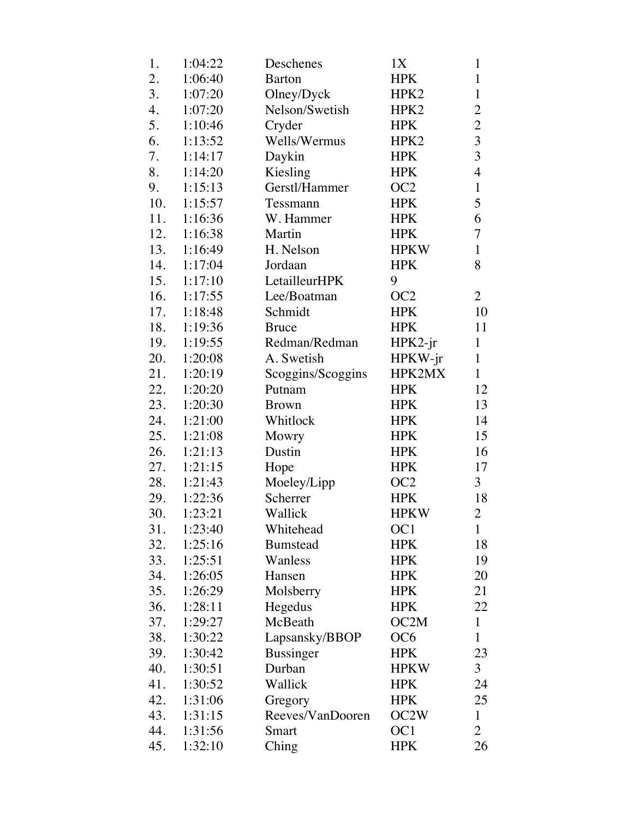| 1.  | 1:04:22 | Deschenes         | 1X               | $\mathbf{1}$     |
|-----|---------|-------------------|------------------|------------------|
| 2.  | 1:06:40 | <b>Barton</b>     | <b>HPK</b>       | $\mathbf{1}$     |
| 3.  | 1:07:20 | Olney/Dyck        | HPK <sub>2</sub> | $\mathbf{1}$     |
| 4.  | 1:07:20 | Nelson/Swetish    | HPK2             | $\overline{c}$   |
| 5.  | 1:10:46 | Cryder            | <b>HPK</b>       | $\frac{2}{3}$    |
| 6.  | 1:13:52 | Wells/Wermus      | HPK <sub>2</sub> |                  |
| 7.  | 1:14:17 | Daykin            | <b>HPK</b>       | $\overline{3}$   |
| 8.  | 1:14:20 | Kiesling          | <b>HPK</b>       | $\overline{4}$   |
| 9.  | 1:15:13 | Gerstl/Hammer     | OC <sub>2</sub>  | $\mathbf{1}$     |
| 10. | 1:15:57 | Tessmann          | <b>HPK</b>       | 5                |
| 11. | 1:16:36 | W. Hammer         | <b>HPK</b>       | 6                |
| 12. | 1:16:38 | Martin            | <b>HPK</b>       | $\boldsymbol{7}$ |
| 13. | 1:16:49 | H. Nelson         | <b>HPKW</b>      | $\mathbf{1}$     |
| 14. | 1:17:04 | Jordaan           | <b>HPK</b>       | 8                |
| 15. | 1:17:10 | LetailleurHPK     | 9                |                  |
| 16. | 1:17:55 | Lee/Boatman       | OC <sub>2</sub>  | $\overline{2}$   |
| 17. | 1:18:48 | Schmidt           | <b>HPK</b>       | 10               |
| 18. | 1:19:36 | <b>Bruce</b>      | <b>HPK</b>       | 11               |
| 19. | 1:19:55 | Redman/Redman     | HPK2-jr          | $\mathbf{1}$     |
| 20. | 1:20:08 | A. Swetish        | $HPKW-jr$        | $\mathbf{1}$     |
| 21. | 1:20:19 | Scoggins/Scoggins | HPK2MX           | $\mathbf{1}$     |
| 22. | 1:20:20 | Putnam            | <b>HPK</b>       | 12               |
| 23. | 1:20:30 | <b>Brown</b>      | <b>HPK</b>       | 13               |
| 24. | 1:21:00 | Whitlock          | <b>HPK</b>       | 14               |
| 25. | 1:21:08 | Mowry             | <b>HPK</b>       | 15               |
| 26. | 1:21:13 | Dustin            | <b>HPK</b>       | 16               |
| 27. | 1:21:15 | Hope              | <b>HPK</b>       | 17               |
| 28. | 1:21:43 | Moeley/Lipp       | OC2              | $\overline{3}$   |
| 29. | 1:22:36 | Scherrer          | <b>HPK</b>       | 18               |
| 30. | 1:23:21 | Wallick           | <b>HPKW</b>      | $\overline{2}$   |
| 31. | 1:23:40 | Whitehead         | OC <sub>1</sub>  | $\mathbf{1}$     |
| 32. | 1:25:16 | <b>Bumstead</b>   | <b>HPK</b>       | 18               |
| 33. | 1:25:51 | Wanless           | <b>HPK</b>       | 19               |
| 34. | 1:26:05 | Hansen            | <b>HPK</b>       | 20               |
| 35. | 1:26:29 | Molsberry         | <b>HPK</b>       | 21               |
| 36. | 1:28:11 | Hegedus           | <b>HPK</b>       | 22               |
| 37. | 1:29:27 | McBeath           | OC2M             | $\mathbf{1}$     |
| 38. | 1:30:22 | Lapsansky/BBOP    | OC <sub>6</sub>  | $\mathbf{1}$     |
| 39. | 1:30:42 | <b>Bussinger</b>  | <b>HPK</b>       | 23               |
| 40. | 1:30:51 | Durban            | <b>HPKW</b>      | $\mathfrak{Z}$   |
| 41. | 1:30:52 | Wallick           | <b>HPK</b>       | 24               |
| 42. | 1:31:06 | Gregory           | <b>HPK</b>       | 25               |
| 43. | 1:31:15 | Reeves/VanDooren  | OC2W             | $\mathbf{1}$     |
| 44. | 1:31:56 | Smart             | OC1              | $\overline{2}$   |
| 45. | 1:32:10 | Ching             | <b>HPK</b>       | 26               |